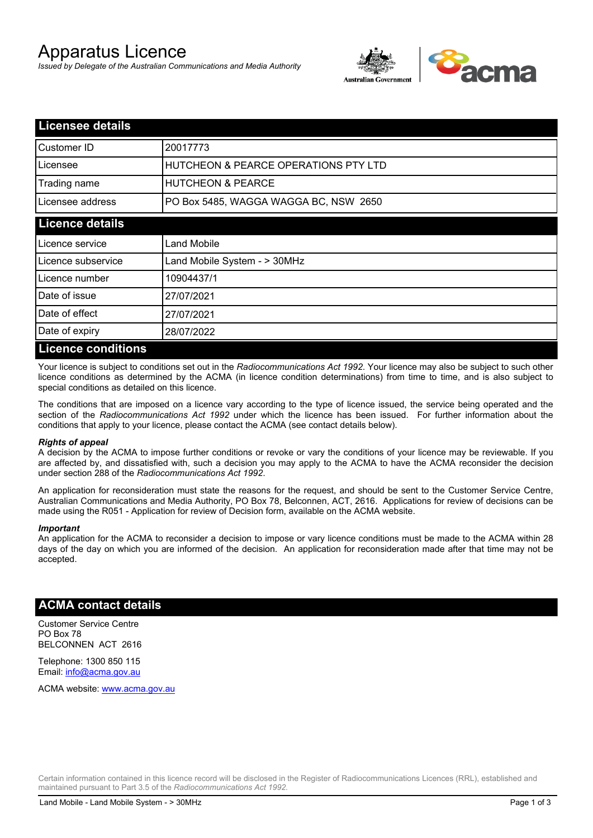# Apparatus Licence

*Issued by Delegate of the Australian Communications and Media Authority*



| <b>Licensee details</b>   |                                       |
|---------------------------|---------------------------------------|
| Customer ID               | 20017773                              |
| Licensee                  | HUTCHEON & PEARCE OPERATIONS PTY LTD  |
| Trading name              | <b>HUTCHEON &amp; PEARCE</b>          |
| Licensee address          | PO Box 5485, WAGGA WAGGA BC, NSW 2650 |
| <b>Licence details</b>    |                                       |
| Licence service           | Land Mobile                           |
| Licence subservice        | Land Mobile System - > 30MHz          |
| Licence number            | 10904437/1                            |
| Date of issue             | 27/07/2021                            |
| Date of effect            | 27/07/2021                            |
| Date of expiry            | 28/07/2022                            |
| <b>Licence conditions</b> |                                       |

Your licence is subject to conditions set out in the *Radiocommunications Act 1992*. Your licence may also be subject to such other licence conditions as determined by the ACMA (in licence condition determinations) from time to time, and is also subject to special conditions as detailed on this licence.

The conditions that are imposed on a licence vary according to the type of licence issued, the service being operated and the section of the *Radiocommunications Act 1992* under which the licence has been issued. For further information about the conditions that apply to your licence, please contact the ACMA (see contact details below).

#### *Rights of appeal*

A decision by the ACMA to impose further conditions or revoke or vary the conditions of your licence may be reviewable. If you are affected by, and dissatisfied with, such a decision you may apply to the ACMA to have the ACMA reconsider the decision under section 288 of the *Radiocommunications Act 1992*.

An application for reconsideration must state the reasons for the request, and should be sent to the Customer Service Centre, Australian Communications and Media Authority, PO Box 78, Belconnen, ACT, 2616. Applications for review of decisions can be made using the R051 - Application for review of Decision form, available on the ACMA website.

#### *Important*

An application for the ACMA to reconsider a decision to impose or vary licence conditions must be made to the ACMA within 28 days of the day on which you are informed of the decision. An application for reconsideration made after that time may not be accepted.

### **ACMA contact details**

Customer Service Centre PO Box 78 BELCONNEN ACT 2616

Telephone: 1300 850 115 Email: info@acma.gov.au

ACMA website: www.acma.gov.au

Certain information contained in this licence record will be disclosed in the Register of Radiocommunications Licences (RRL), established and maintained pursuant to Part 3.5 of the *Radiocommunications Act 1992.*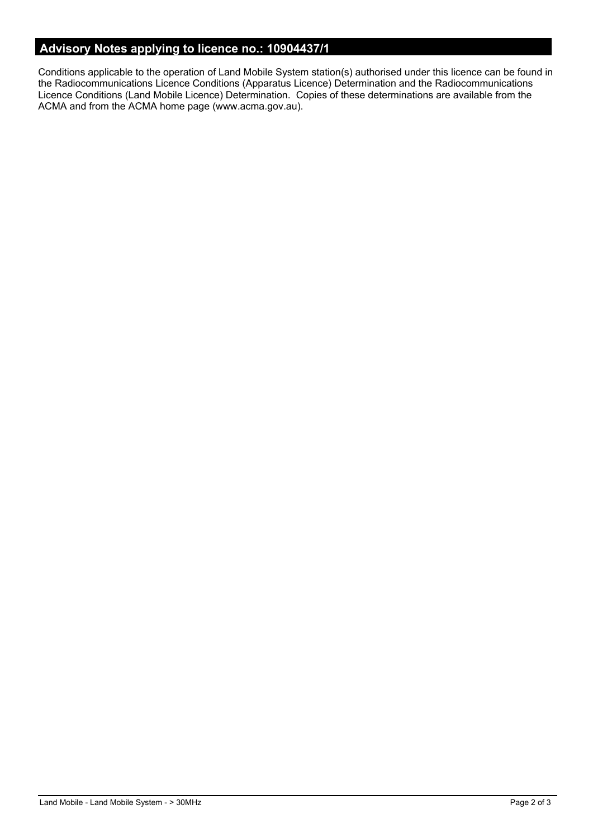# **Advisory Notes applying to licence no.: 10904437/1**

Conditions applicable to the operation of Land Mobile System station(s) authorised under this licence can be found in the Radiocommunications Licence Conditions (Apparatus Licence) Determination and the Radiocommunications Licence Conditions (Land Mobile Licence) Determination. Copies of these determinations are available from the ACMA and from the ACMA home page (www.acma.gov.au).